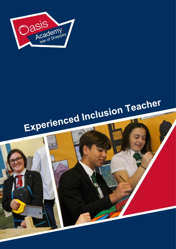

`

# Experienced Inclusion Teacher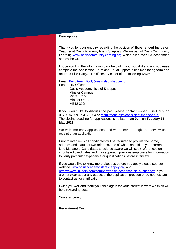### Dear Applicant,

Thank you for your enquiry regarding the position of **Experienced Inclusion Teacher** at Oasis Academy Isle of Sheppey. We are part of Oasis Community Learning [www.oasiscommunitylearning.org](http://www.oasiscommunitylearning.org/) which runs over 53 academies across the UK.

I hope you find the information pack helpful. If you would like to apply, please complete the Application Form and Equal Opportunities monitoring form and return to Ellie Harry, HR Officer, by either of the following ways:

Email: [Recuitment.](mailto:Hadley.hr@oasishadley.org)IOS@oasisisleofsheppey.org

Post: HR Officer Oasis Academy, Isle of Sheppey Minster Campus Mister Road Minster On Sea ME12 3JQ

If you would like to discuss the post please contact myself Ellie Harry on 01795 873591 ext. 76254 or [recruitment.](mailto:recruitment)ios@oasisisleofsheppey.org. The closing deadline for applications is no later than **9am** on **Tuesday 31 May 2022.**

We welcome early applications, and we reserve the right to interview upon receipt of an application.

Prior to interviews all candidates will be required to provide the name, address and status of two referees**,** one of whom should be your current Line Manager. Candidates should be aware we will seek references on shortlisted candidates and may approach previous employers for information to verify particular experience or qualifications before interview.

If you would like to know more about us before you apply please see our website [www.oasisacademyisleofsheppey.org](http://www.oasisacademyisleofsheppey.org/) and [https://www.linkedin.com/company/oasis-academy-isle-of-sheppey,](https://www.linkedin.com/company/oasis-academy-isle-of-sheppey) if you are not clear about any aspect of the application procedure, do not hesitate to contact us for clarification.

I wish you well and thank you once again for your interest in what we think will be a rewarding post.

Yours sincerely,

# **Recruitment Team**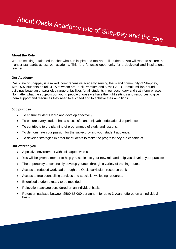# About Oasis Academy Isle of Sheppey and the role

# **About the Role**

We are seeking a talented teacher who can inspire and motivate all students. You will work to secure the highest standards across our academy. This is a fantastic opportunity for a dedicated and inspirational teacher.

# **Our Academy**

Oasis Isle of Sheppey is a mixed, comprehensive academy serving the island community of Sheppey, with 1507 students on roll, 47% of whom are Pupil Premium and 5.6% EAL. Our multi-million-pound buildings boast an unparalleled range of facilities for all students in our secondary and sixth form phases. No matter what the subjects our young people choose we have the right settings and resources to give them support and resources they need to succeed and to achieve their ambitions.

# **Job purpose**

- To ensure students learn and develop effectively
- To ensure every student has a successful and enjoyable educational experience.
- To contribute to the planning of programmes of study and lessons.
- To demonstrate your passion for the subject toward your student audience.
- To develop strategies in order for students to make the progress they are capable of.

# **Our offer to you**

- A positive environment with colleagues who care
- You will be given a mentor to help you settle into your new role and help you develop your practice
- The opportunity to continually develop yourself through a variety of training routes
- Access to reduced workload through the Oasis curriculum resource bank
- Access to free counselling services and specialist wellbeing resources
- Energised students ready to be moulded
- Relocation package considered on an individual basis
- Retention package between £500-£5,000 per annum for up to 3 years, offered on an individual basis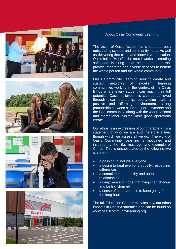







# About Oasis Community Learning

The vision of Oasis Academies is to create both outstanding schools and community hubs. As well as delivering first-class and innovative education, Oasis builds 'Hubs' in the area it works in; creating safe and inspiring local neighbourhoods that provide integrated and diverse services to benefit the whole person and the whole community.

Oasis Community Learning seek to create and sustain networks of excellent learning communities working in the context of the Oasis Ethos where every student can reach their full potential. Oasis believes this can be achieved through clear leadership, outstanding staff, a positive and affirming environment, strong partnership between students, parents/carers and the local community, along with the wider national and international links the Oasis' global operations create.

Our ethos is an expression of our character- it is a statement of who we are and therefore a lens though which we assess all we do. The work of Oasis Community Learning is motivated and inspired by the life, message and example of Christ. This is encapsulated by the following five statements:

- a passion to include everyone
- a desire to treat everyone equally, respecting differences
- a commitment to healthy and open relationships
- a deep sense of hope that things can change and be transformed
- a sense of perseverance to keep going for the long haul

The full Education Charter explains how our ethos impacts in Oasis Academies and can be found on [www.oasiscommunitylearning.](http://www.oasiscommunitylearning/)org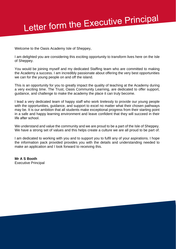# Letter form the Executive Principal

Welcome to the Oasis Academy Isle of Sheppey,

I am delighted you are considering this exciting opportunity to transform lives here on the Isle of Sheppey.

You would be joining myself and my dedicated Staffing team who are committed to making the Academy a success. I am incredibly passionate about offering the very best opportunities we can for the young people on and off the island.

This is an opportunity for you to greatly impact the quality of teaching at the Academy during a very exciting time. The Trust, Oasis Community Learning, are dedicated to offer support, guidance, and challenge to make the academy the place it can truly become.

I lead a very dedicated team of happy staff who work tirelessly to provide our young people with the opportunities, quidance, and support to excel no matter what their chosen pathways may be. It is our ambition that all students make exceptional progress from their starting point in a safe and happy learning environment and leave confident that they will succeed in their life after school. 

We understand and value the community and we are proud to be a part of the Isle of Sheppey. We have a strong set of values and this helps create a culture we are all proud to be part of.

I am dedicated to working with you and to support you to fulfil any of your aspirations. I hope the information pack provided provides you with the details and understanding needed to make an application and I look forward to receiving this.

**Mr A S Booth**  Executive Principal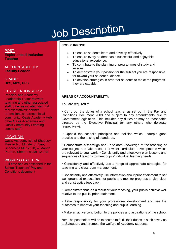# Job Description

POST: **Expierienced Inclusion Teacher** 

ACCOUNTABLE TO: **Faculty Leader** 

GRADE: **UPS, MPS, UPS**

# KEY RELATIONSHIPS:

Principal and Academy Leadership Team; relevant teaching and other associated staff; other associated staff; LA representatives; partner professionals; parents; local community; Oasis Academy Hub; other Oasis Academies and Oasis Community Learning central staff.

# LOCATION:

Oasis Academy Isle of Sheppey Minster Rd, Minster on Sea, Sheerness ME12 3JQ & Marine Parade, Sheerness ME12 2BE

# WORKING PATTERN:

Full-time and as described in the School Teachers' Pay and Conditions document

# **JOB PURPOSE:**

- To ensure students learn and develop effectively
- To ensure every student has a successful and enjoyable educational experience.
- To contribute to the planning of programmes of study and lessons.
- To demonstrate your passion for the subject you are responsible for toward your student audience.
- To develop strategies in order for students to make the progress they are capable.

# **AREAS OF ACCOUNTABILITY:**

You are required to:

• Carry out the duties of a school teacher as set out in the Pay and Conditions Document 2009 and subject to any amendments due to Government legislation. This includes any duties as may be reasonable directed by the Executive Principal (or any others who delegate respectively).

• Uphold the school's principles and policies which underpin good practice and the raising of standards.

• Demonstrate a thorough and up-to-date knowledge of the teaching of your subject and take account of wider curriculum developments which are relevant to your work. • Consistently and effectively plan lessons and sequences of lessons to meet pupils' individual learning needs.

• Consistently and effectively use a range of appropriate strategies for teaching and classroom management.

• Consistently and effectively use information about prior attainment to set well-grounded expectations for pupils and monitor progress to give clear and constructive feedback.

• Demonstrate that, as a result of your teaching, your pupils achieve well relative to the pupils' prior attainment.

• Take responsibility for your professional development and use the outcomes to improve your teaching and pupils' learning.

• Make an active contribution to the policies and aspirations of the school

NB: The post holder will be expected to fulfill their duties in such a way as to Safeguard and promote the welfare of Academy students.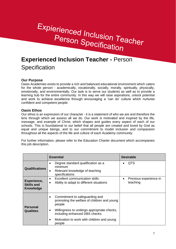# Expierienced Inclusion Teacher Person Specification

# **Experienced Inclusion Teacher -** Person **Specification**

# **Our Purpose**

Oasis Academies exists to provide a rich and balanced educational environment which caters for the whole person - academically, vocationally, socially, morally, spiritually, physically, emotionally, and environmentally. Our task is to serve our students as well as to provide a learning hub for the entire community. In this way we will raise aspirations, unlock potential and work to achieve excellence through encouraging a 'can do' culture which nurtures confident and competent people.

# **Oasis Ethos**

Our ethos is an expression of our character - it is a statement of who we are and therefore the lens through which we assess all we do. Our work is motivated and inspired by the life, message, and example of Christ, which shapes and guides every aspect of each of our schools. This is foundational to our belief that all people are created and loved by God as equal and unique beings, and to our commitment to model inclusion and compassion throughout all the aspects of the life and culture of each Academy community.

For further information, please refer to the Education Charter document which accompanies this job description.

|                                                      | <b>Essential</b>                                                                                                    | <b>Desirable</b>                                |
|------------------------------------------------------|---------------------------------------------------------------------------------------------------------------------|-------------------------------------------------|
| <b>Qualifications</b>                                | Degree standard qualification as a<br>$\bullet$<br>minimum<br>Relevant knowledge of teaching<br>٠<br>specifications | QTS                                             |
| Experience,<br><b>Skills and</b><br><b>Knowledge</b> | <b>Excellent communication skills</b><br>$\bullet$<br>Ability to adapt to different situations<br>$\bullet$         | Previous experience in<br>$\bullet$<br>teaching |
| <b>Personal</b><br><b>Qualities</b>                  | Commitment to safeguarding and<br>$\bullet$<br>promoting the welfare of children and young<br>people                |                                                 |
|                                                      | Willingness to undergo appropriate checks,<br>٠<br>including enhanced DBS checks                                    |                                                 |
|                                                      | Motivation to work with children and young<br>$\bullet$<br>people                                                   |                                                 |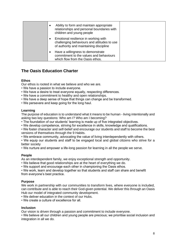| Ability to form and maintain appropriate<br>$\bullet$<br>relationships and personal boundaries with<br>children and young people            |  |
|---------------------------------------------------------------------------------------------------------------------------------------------|--|
| Emotional resilience in working with<br>$\bullet$<br>challenging behaviours and attitudes to use<br>of authority and maintaining discipline |  |
| Have a willingness to demonstrate<br>commitment to the values and behaviours<br>which flow from the Oasis ethos.                            |  |

# **The Oasis Education Charter**

# **Ethos**

Our ethos is rooted in what we believe and who we are.

- We have a passion to include everyone.
- We have a desire to treat everyone equally, respecting differences.
- We have a commitment to healthy and open relationships.
- We have a deep sense of hope that things can change and be transformed.
- We persevere and keep going for the long haul.

# **Learning**

The purpose of education is to understand what it means to be human - living intentionally and asking two key questions: Who am I? Who am I becoming?

• The foundation of our students' learning is made up of five integrated objectives.

• We develop competence, striving for excellence in skills, knowledge and qualifications.

• We foster character and self-belief and encourage our students and staff to become the best versions of themselves through the 9 Habits.

• We embrace community, advocating the value of living interdependently with others.

• We equip our students and staff to be engaged local and global citizens who strive for a better society

• We nurture and empower a life-long passion for learning in all the people we serve.

# **People**

As an interdependent family, we enjoy exceptional strength and opportunity.

- We believe that good relationships are at the heart of everything we do.
- We support and encourage each other in championing the Oasis ethos.

• We work, learn and develop together so that students and staff can share and benefit from everyone's best practice.

# **Purpose**

We work in partnership with our communities to transform lives, where everyone is included, can contribute and is able to reach their God-given potential. We deliver this through an Oasis Hub our model of integrated community development.

• We deliver education in the context of our Hubs.

• We create a culture of excellence for all.

# **Inclusion**

Our vision is driven through a passion and commitment to include everyone.

• We believe all our children and young people are precious; we prioritise social inclusion and integration in all we do.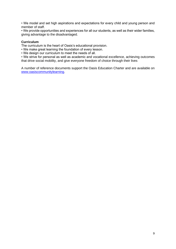• We model and set high aspirations and expectations for every child and young person and member of staff.

• We provide opportunities and experiences for all our students, as well as their wider families, giving advantage to the disadvantaged.

# **Curriculum**

The curriculum is the heart of Oasis's educational provision.

- We make great learning the foundation of every lesson.
- We design our curriculum to meet the needs of all.

• We strive for personal as well as academic and vocational excellence, achieving outcomes that drive social mobility, and give everyone freedom of choice through their lives

A number of reference documents support the Oasis Education Charter and are available on [www.oasiscommunitylearning.](http://www.oasiscommunitylearning/)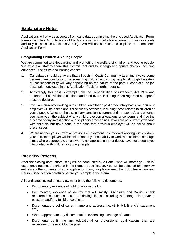# **Explanatory Notes**

Applications will only be accepted from candidates completing the enclosed Application Form. Please complete ALL Sections of the Application Form which are relevant to you as clearly and fully as possible (Sections A & B). CVs will not be accepted in place of a completed Application Form.

# **Safeguarding Children & Young People**

We are committed to safeguarding and promoting the welfare of children and young people. We expect all staff to share this commitment and to undergo appropriate checks, including enhanced Disclosure and Barring checks

- 1. Candidates should be aware that all posts in Oasis Community Learning involve some degree of responsibility for safeguarding children and young people, although the extent of that responsibility will vary depending on the nature of the post. Please see the job description enclosed in this Application Pack for further details.
- 2. Accordingly this post is exempt from the Rehabilitation of Offenders Act 1974 and therefore all convictions, cautions and bind-overs, including those regarded as "spent" must be declared.
- 3. If you are currently working with children, on either a paid or voluntary basis, your current employer will be asked about disciplinary offences, including those related to children or young people (whether the disciplinary sanction is current or time-expired), and whether you have been the subject of any child protection allegations or concerns and if so the outcome of any investigation or disciplinary proceedings. If you are not currently working with children, but have done in the past, that previous employer will be asked about these issues.
- 4. Where neither your current or previous employment has involved working with children, your current employer will be asked about your suitability to work with children, although it may where appropriate be answered not applicable if your duties have not brought you into contact with children or young people.

# **Interview Process**

After the closing date, short listing will be conducted by a Panel, who will match your skills/ experience against the criteria in the Person Specification. You will be selected for interview entirely on the contents of your application form, so please read the Job Description and Person Specification carefully before you complete your form.

All candidates invited to interview must bring the following documents:

- Documentary evidence of right to work in the UK
- Documentary evidence of identity that will satisfy Disclosure and Barring check requirements such as a current driving license including a photograph and/or a passport and/or a full birth certificate
- Documentary proof of current name and address (i.e. utility bill, financial statement etc.)
- Where appropriate any documentation evidencing a change of name
- Documents confirming any educational or professional qualifications that are necessary or relevant for the post.